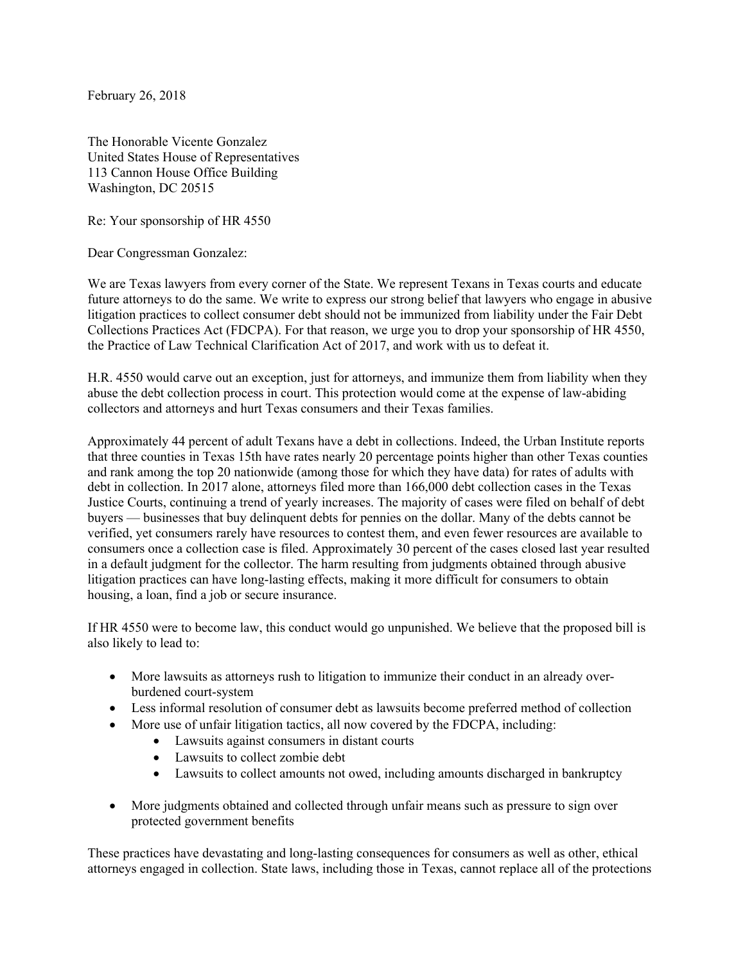February 26, 2018

The Honorable Vicente Gonzalez United States House of Representatives 113 Cannon House Office Building Washington, DC 20515

Re: Your sponsorship of HR 4550

Dear Congressman Gonzalez:

We are Texas lawyers from every corner of the State. We represent Texans in Texas courts and educate future attorneys to do the same. We write to express our strong belief that lawyers who engage in abusive litigation practices to collect consumer debt should not be immunized from liability under the Fair Debt Collections Practices Act (FDCPA). For that reason, we urge you to drop your sponsorship of HR 4550, the Practice of Law Technical Clarification Act of 2017, and work with us to defeat it.

H.R. 4550 would carve out an exception, just for attorneys, and immunize them from liability when they abuse the debt collection process in court. This protection would come at the expense of law-abiding collectors and attorneys and hurt Texas consumers and their Texas families.

Approximately 44 percent of adult Texans have a debt in collections. Indeed, the Urban Institute reports that three counties in Texas 15th have rates nearly 20 percentage points higher than other Texas counties and rank among the top 20 nationwide (among those for which they have data) for rates of adults with debt in collection. In 2017 alone, attorneys filed more than 166,000 debt collection cases in the Texas Justice Courts, continuing a trend of yearly increases. The majority of cases were filed on behalf of debt buyers — businesses that buy delinquent debts for pennies on the dollar. Many of the debts cannot be verified, yet consumers rarely have resources to contest them, and even fewer resources are available to consumers once a collection case is filed. Approximately 30 percent of the cases closed last year resulted in a default judgment for the collector. The harm resulting from judgments obtained through abusive litigation practices can have long-lasting effects, making it more difficult for consumers to obtain housing, a loan, find a job or secure insurance.

If HR 4550 were to become law, this conduct would go unpunished. We believe that the proposed bill is also likely to lead to:

- More lawsuits as attorneys rush to litigation to immunize their conduct in an already overburdened court-system
- Less informal resolution of consumer debt as lawsuits become preferred method of collection
- More use of unfair litigation tactics, all now covered by the FDCPA, including:
	- Lawsuits against consumers in distant courts
	- Lawsuits to collect zombie debt
	- Lawsuits to collect amounts not owed, including amounts discharged in bankruptcy
- More judgments obtained and collected through unfair means such as pressure to sign over protected government benefits

These practices have devastating and long-lasting consequences for consumers as well as other, ethical attorneys engaged in collection. State laws, including those in Texas, cannot replace all of the protections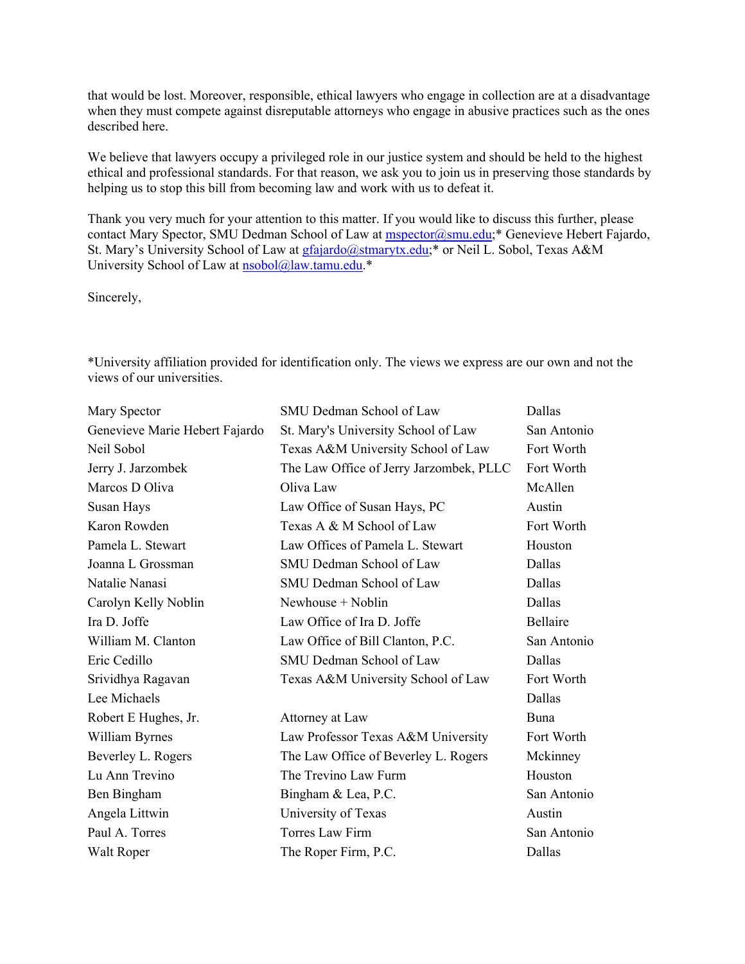that would be lost. Moreover, responsible, ethical lawyers who engage in collection are at a disadvantage when they must compete against disreputable attorneys who engage in abusive practices such as the ones described here.

We believe that lawyers occupy a privileged role in our justice system and should be held to the highest ethical and professional standards. For that reason, we ask you to join us in preserving those standards by helping us to stop this bill from becoming law and work with us to defeat it.

Thank you very much for your attention to this matter. If you would like to discuss this further, please contact Mary Spector, SMU Dedman School of Law at mspector@smu.edu;\* Genevieve Hebert Fajardo, St. Mary's University School of Law at gfajardo@stmarytx.edu;\* or Neil L. Sobol, Texas A&M University School of Law at nsobol@law.tamu.edu.\*

Sincerely,

\*University affiliation provided for identification only. The views we express are our own and not the views of our universities.

| Mary Spector                   | SMU Dedman School of Law                | Dallas      |
|--------------------------------|-----------------------------------------|-------------|
| Genevieve Marie Hebert Fajardo | St. Mary's University School of Law     | San Antonio |
| Neil Sobol                     | Texas A&M University School of Law      | Fort Worth  |
| Jerry J. Jarzombek             | The Law Office of Jerry Jarzombek, PLLC | Fort Worth  |
| Marcos D Oliva                 | Oliva Law                               | McAllen     |
| Susan Hays                     | Law Office of Susan Hays, PC            | Austin      |
| Karon Rowden                   | Texas A & M School of Law               | Fort Worth  |
| Pamela L. Stewart              | Law Offices of Pamela L. Stewart        | Houston     |
| Joanna L Grossman              | SMU Dedman School of Law                | Dallas      |
| Natalie Nanasi                 | SMU Dedman School of Law                | Dallas      |
| Carolyn Kelly Noblin           | Newhouse + Noblin                       | Dallas      |
| Ira D. Joffe                   | Law Office of Ira D. Joffe              | Bellaire    |
| William M. Clanton             | Law Office of Bill Clanton, P.C.        | San Antonio |
| Eric Cedillo                   | SMU Dedman School of Law                | Dallas      |
| Srividhya Ragavan              | Texas A&M University School of Law      | Fort Worth  |
| Lee Michaels                   |                                         | Dallas      |
| Robert E Hughes, Jr.           | Attorney at Law                         | Buna        |
| William Byrnes                 | Law Professor Texas A&M University      | Fort Worth  |
| Beverley L. Rogers             | The Law Office of Beverley L. Rogers    | Mckinney    |
| Lu Ann Trevino                 | The Trevino Law Furm                    | Houston     |
| Ben Bingham                    | Bingham & Lea, P.C.                     | San Antonio |
| Angela Littwin                 | University of Texas                     | Austin      |
| Paul A. Torres                 | Torres Law Firm                         | San Antonio |
| Walt Roper                     | The Roper Firm, P.C.                    | Dallas      |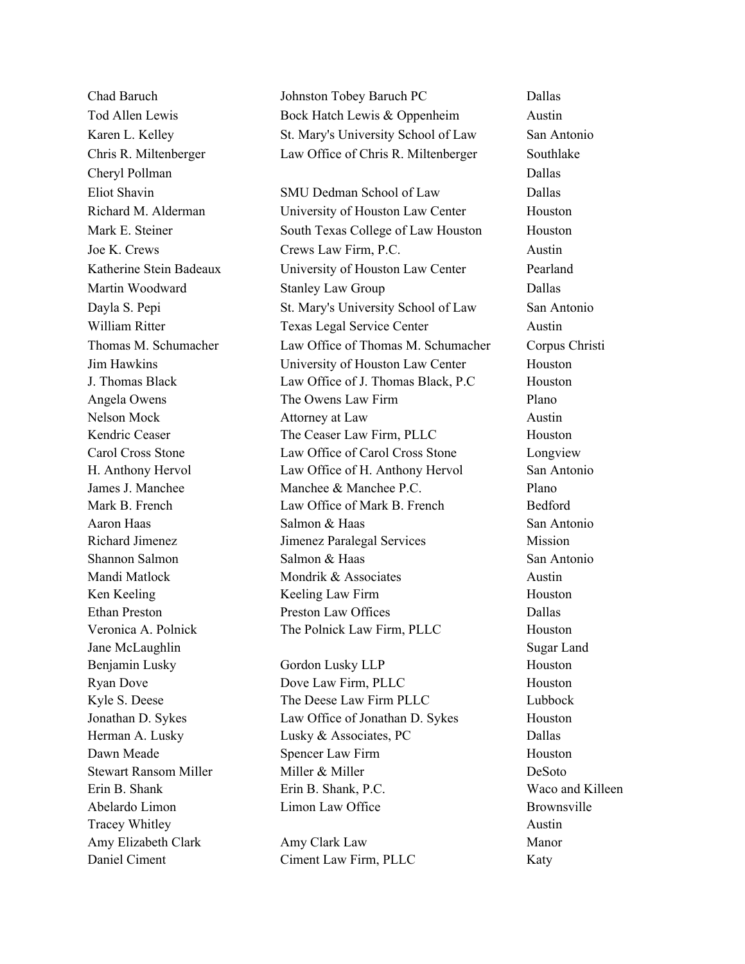Cheryl Pollman Dallas Cheryl Pollman Dallas Cheryl Pollman Dallas Cheryl Pollman Dallas Cheryl Pollman Dallas Jane McLaughlin Sugar Land Tracey Whitley Austin 2008 and 2008 and 2008 and 2008 and 2008 and 2008 and 2008 and 2008 and 2008 and 2008 and 2008 and 2008 and 2008 and 2008 and 2008 and 2008 and 2008 and 2008 and 2008 and 2008 and 2008 and 2008 and 20

Chad Baruch Johnston Tobey Baruch PC Dallas Tod Allen Lewis Bock Hatch Lewis & Oppenheim Austin Karen L. Kelley St. Mary's University School of Law San Antonio Chris R. Miltenberger Law Office of Chris R. Miltenberger Southlake

Eliot Shavin SMU Dedman School of Law Dallas Richard M. Alderman University of Houston Law Center Houston Mark E. Steiner South Texas College of Law Houston Houston Joe K. Crews Crews Law Firm, P.C. Austin Katherine Stein Badeaux University of Houston Law Center Pearland Martin Woodward Stanley Law Group Dallas Dayla S. Pepi St. Mary's University School of Law San Antonio William Ritter Texas Legal Service Center Austin Thomas M. Schumacher Law Office of Thomas M. Schumacher Corpus Christi Jim Hawkins University of Houston Law Center Houston J. Thomas Black Law Office of J. Thomas Black, P.C Houston Angela Owens The Owens Law Firm Plano Nelson Mock **Attorney at Law** Austin Kendric Ceaser The Ceaser Law Firm, PLLC Houston Carol Cross Stone Law Office of Carol Cross Stone Longview H. Anthony Hervol Law Office of H. Anthony Hervol San Antonio James J. Manchee **Manchee & Manchee P.C.** Plano Mark B. French Law Office of Mark B. French Bedford Aaron Haas Salmon & Haas San Antonio Richard Jimenez **IImenez Paralegal Services** Mission Shannon Salmon Salmon & Haas San Antonio Mandi Matlock Mondrik & Associates Austin Ken Keeling Keeling Law Firm Houston Ethan Preston **Preston Law Offices** Dallas Veronica A. Polnick The Polnick Law Firm, PLLC Houston

Benjamin Lusky Gordon Lusky LLP Houston Ryan Dove Dove Law Firm, PLLC Houston Kyle S. Deese The Deese Law Firm PLLC Lubbock Jonathan D. Sykes Law Office of Jonathan D. Sykes Houston Herman A. Lusky **Lusky & Associates, PC** Dallas Dawn Meade Spencer Law Firm Houston Stewart Ransom Miller Miller & Miller Miller Miller DeSoto Erin B. Shank Erin B. Shank, P.C. Waco and Killeen Abelardo Limon Limon Law Office Brownsville

Amy Elizabeth Clark Amy Clark Law Manor Daniel Ciment Ciment Ciment Law Firm, PLLC Katy